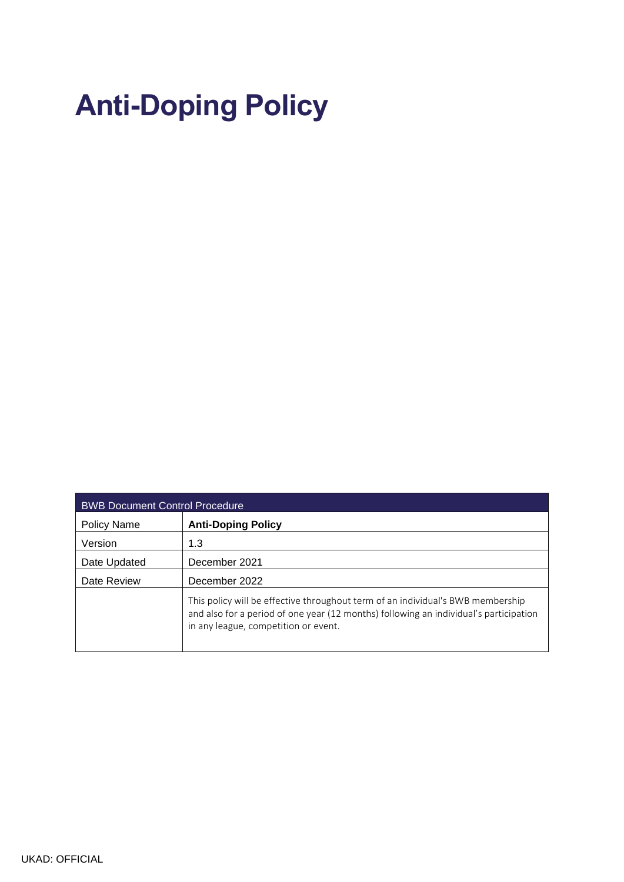# **Anti-Doping Policy**

| <b>BWB Document Control Procedure</b> |                                                                                                                                                                                                                  |
|---------------------------------------|------------------------------------------------------------------------------------------------------------------------------------------------------------------------------------------------------------------|
| Policy Name                           | <b>Anti-Doping Policy</b>                                                                                                                                                                                        |
| Version                               | 1.3                                                                                                                                                                                                              |
| Date Updated                          | December 2021                                                                                                                                                                                                    |
| Date Review                           | December 2022                                                                                                                                                                                                    |
|                                       | This policy will be effective throughout term of an individual's BWB membership<br>and also for a period of one year (12 months) following an individual's participation<br>in any league, competition or event. |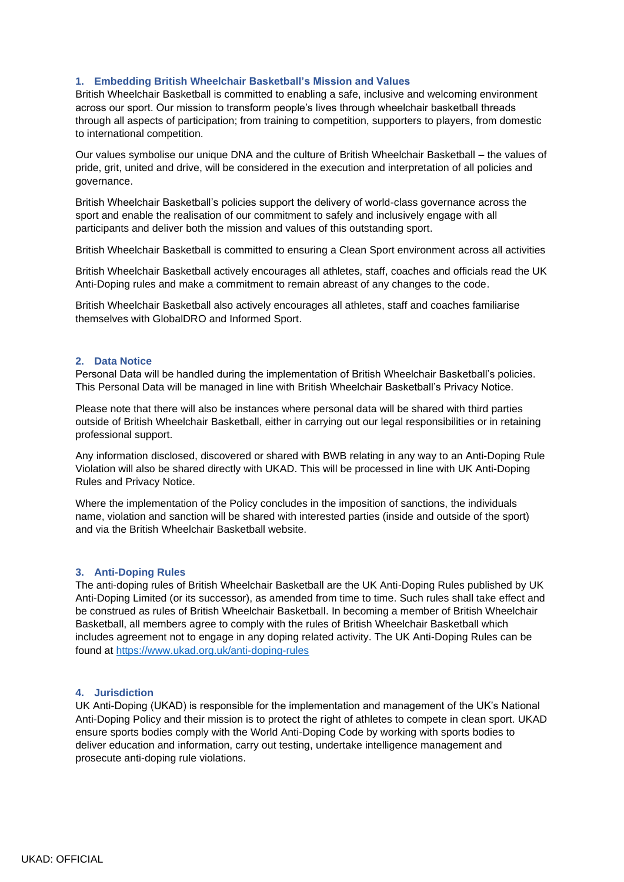#### **1. Embedding British Wheelchair Basketball's Mission and Values**

British Wheelchair Basketball is committed to enabling a safe, inclusive and welcoming environment across our sport. Our mission to transform people's lives through wheelchair basketball threads through all aspects of participation; from training to competition, supporters to players, from domestic to international competition.

Our values symbolise our unique DNA and the culture of British Wheelchair Basketball – the values of pride, grit, united and drive, will be considered in the execution and interpretation of all policies and governance.

British Wheelchair Basketball's policies support the delivery of world-class governance across the sport and enable the realisation of our commitment to safely and inclusively engage with all participants and deliver both the mission and values of this outstanding sport.

British Wheelchair Basketball is committed to ensuring a Clean Sport environment across all activities

British Wheelchair Basketball actively encourages all athletes, staff, coaches and officials read the UK Anti-Doping rules and make a commitment to remain abreast of any changes to the code.

British Wheelchair Basketball also actively encourages all athletes, staff and coaches familiarise themselves with GlobalDRO and Informed Sport.

#### **2. Data Notice**

Personal Data will be handled during the implementation of British Wheelchair Basketball's policies. This Personal Data will be managed in line with British Wheelchair Basketball's Privacy Notice.

Please note that there will also be instances where personal data will be shared with third parties outside of British Wheelchair Basketball, either in carrying out our legal responsibilities or in retaining professional support.

Any information disclosed, discovered or shared with BWB relating in any way to an Anti-Doping Rule Violation will also be shared directly with UKAD. This will be processed in line with UK Anti-Doping Rules and Privacy Notice.

Where the implementation of the Policy concludes in the imposition of sanctions, the individuals name, violation and sanction will be shared with interested parties (inside and outside of the sport) and via the British Wheelchair Basketball website.

#### **3. Anti-Doping Rules**

The anti-doping rules of British Wheelchair Basketball are the UK Anti-Doping Rules published by UK Anti-Doping Limited (or its successor), as amended from time to time. Such rules shall take effect and be construed as rules of British Wheelchair Basketball. In becoming a member of British Wheelchair Basketball, all members agree to comply with the rules of British Wheelchair Basketball which includes agreement not to engage in any doping related activity. The UK Anti-Doping Rules can be found at<https://www.ukad.org.uk/anti-doping-rules>

# **4. Jurisdiction**

UK Anti-Doping (UKAD) is responsible for the implementation and management of the UK's National Anti-Doping Policy and their mission is to protect the right of athletes to compete in clean sport. UKAD ensure sports bodies comply with the World Anti-Doping Code by working with sports bodies to deliver education and information, carry out testing, undertake intelligence management and prosecute anti-doping rule violations.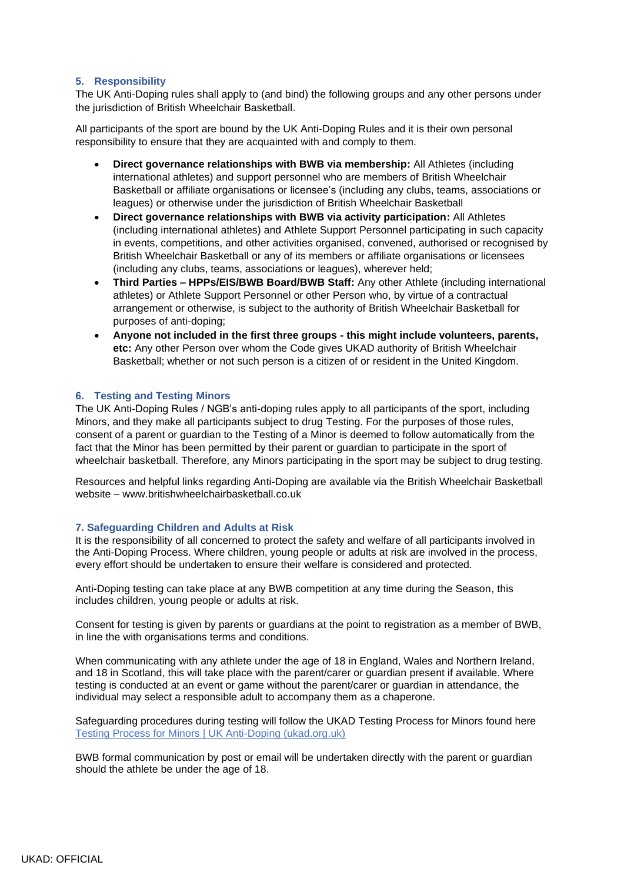# **5. Responsibility**

The UK Anti-Doping rules shall apply to (and bind) the following groups and any other persons under the jurisdiction of British Wheelchair Basketball.

All participants of the sport are bound by the UK Anti-Doping Rules and it is their own personal responsibility to ensure that they are acquainted with and comply to them.

- **Direct governance relationships with BWB via membership:** All Athletes (including international athletes) and support personnel who are members of British Wheelchair Basketball or affiliate organisations or licensee's (including any clubs, teams, associations or leagues) or otherwise under the jurisdiction of British Wheelchair Basketball
- **Direct governance relationships with BWB via activity participation:** All Athletes (including international athletes) and Athlete Support Personnel participating in such capacity in events, competitions, and other activities organised, convened, authorised or recognised by British Wheelchair Basketball or any of its members or affiliate organisations or licensees (including any clubs, teams, associations or leagues), wherever held;
- **Third Parties – HPPs/EIS/BWB Board/BWB Staff:** Any other Athlete (including international athletes) or Athlete Support Personnel or other Person who, by virtue of a contractual arrangement or otherwise, is subject to the authority of British Wheelchair Basketball for purposes of anti-doping;
- **Anyone not included in the first three groups - this might include volunteers, parents, etc:** Any other Person over whom the Code gives UKAD authority of British Wheelchair Basketball; whether or not such person is a citizen of or resident in the United Kingdom.

# **6. Testing and Testing Minors**

The UK Anti-Doping Rules / NGB's anti-doping rules apply to all participants of the sport, including Minors, and they make all participants subject to drug Testing. For the purposes of those rules, consent of a parent or guardian to the Testing of a Minor is deemed to follow automatically from the fact that the Minor has been permitted by their parent or guardian to participate in the sport of wheelchair basketball. Therefore, any Minors participating in the sport may be subject to drug testing.

Resources and helpful links regarding Anti-Doping are available via the British Wheelchair Basketball website – www.britishwheelchairbasketball.co.uk

# **7. Safeguarding Children and Adults at Risk**

It is the responsibility of all concerned to protect the safety and welfare of all participants involved in the Anti-Doping Process. Where children, young people or adults at risk are involved in the process, every effort should be undertaken to ensure their welfare is considered and protected.

Anti-Doping testing can take place at any BWB competition at any time during the Season, this includes children, young people or adults at risk.

Consent for testing is given by parents or guardians at the point to registration as a member of BWB, in line the with organisations terms and conditions.

When communicating with any athlete under the age of 18 in England, Wales and Northern Ireland, and 18 in Scotland, this will take place with the parent/carer or guardian present if available. Where testing is conducted at an event or game without the parent/carer or guardian in attendance, the individual may select a responsible adult to accompany them as a chaperone.

Safeguarding procedures during testing will follow the UKAD Testing Process for Minors found here [Testing Process for Minors | UK Anti-Doping \(ukad.org.uk\)](https://www.ukad.org.uk/violations/testing-process-minors)

BWB formal communication by post or email will be undertaken directly with the parent or guardian should the athlete be under the age of 18.